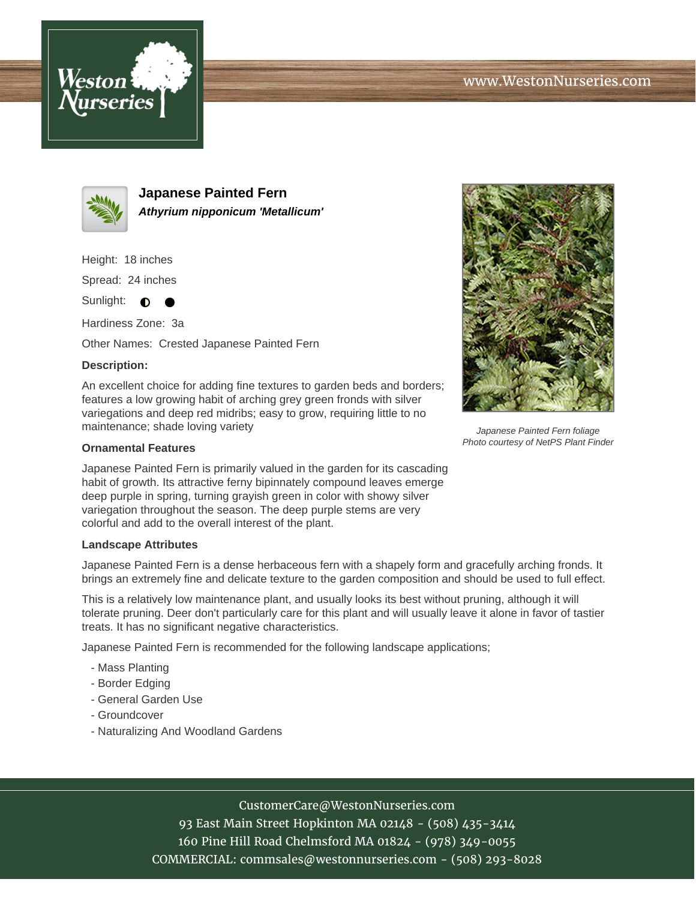



**Japanese Painted Fern Athyrium nipponicum 'Metallicum'**

Height: 18 inches

Spread: 24 inches

Sunlight:  $\bullet$ 

Hardiness Zone: 3a

Other Names: Crested Japanese Painted Fern

## **Description:**

An excellent choice for adding fine textures to garden beds and borders; features a low growing habit of arching grey green fronds with silver variegations and deep red midribs; easy to grow, requiring little to no maintenance; shade loving variety

## **Ornamental Features**

Japanese Painted Fern is primarily valued in the garden for its cascading habit of growth. Its attractive ferny bipinnately compound leaves emerge deep purple in spring, turning grayish green in color with showy silver variegation throughout the season. The deep purple stems are very colorful and add to the overall interest of the plant.

## **Landscape Attributes**

Japanese Painted Fern is a dense herbaceous fern with a shapely form and gracefully arching fronds. It brings an extremely fine and delicate texture to the garden composition and should be used to full effect.

This is a relatively low maintenance plant, and usually looks its best without pruning, although it will tolerate pruning. Deer don't particularly care for this plant and will usually leave it alone in favor of tastier treats. It has no significant negative characteristics.

Japanese Painted Fern is recommended for the following landscape applications;

- Mass Planting
- Border Edging
- General Garden Use
- Groundcover
- Naturalizing And Woodland Gardens



93 East Main Street Hopkinton MA 02148 - (508) 435-3414 160 Pine Hill Road Chelmsford MA 01824 - (978) 349-0055 COMMERCIAL: commsales@westonnurseries.com - (508) 293-8028



Japanese Painted Fern foliage Photo courtesy of NetPS Plant Finder